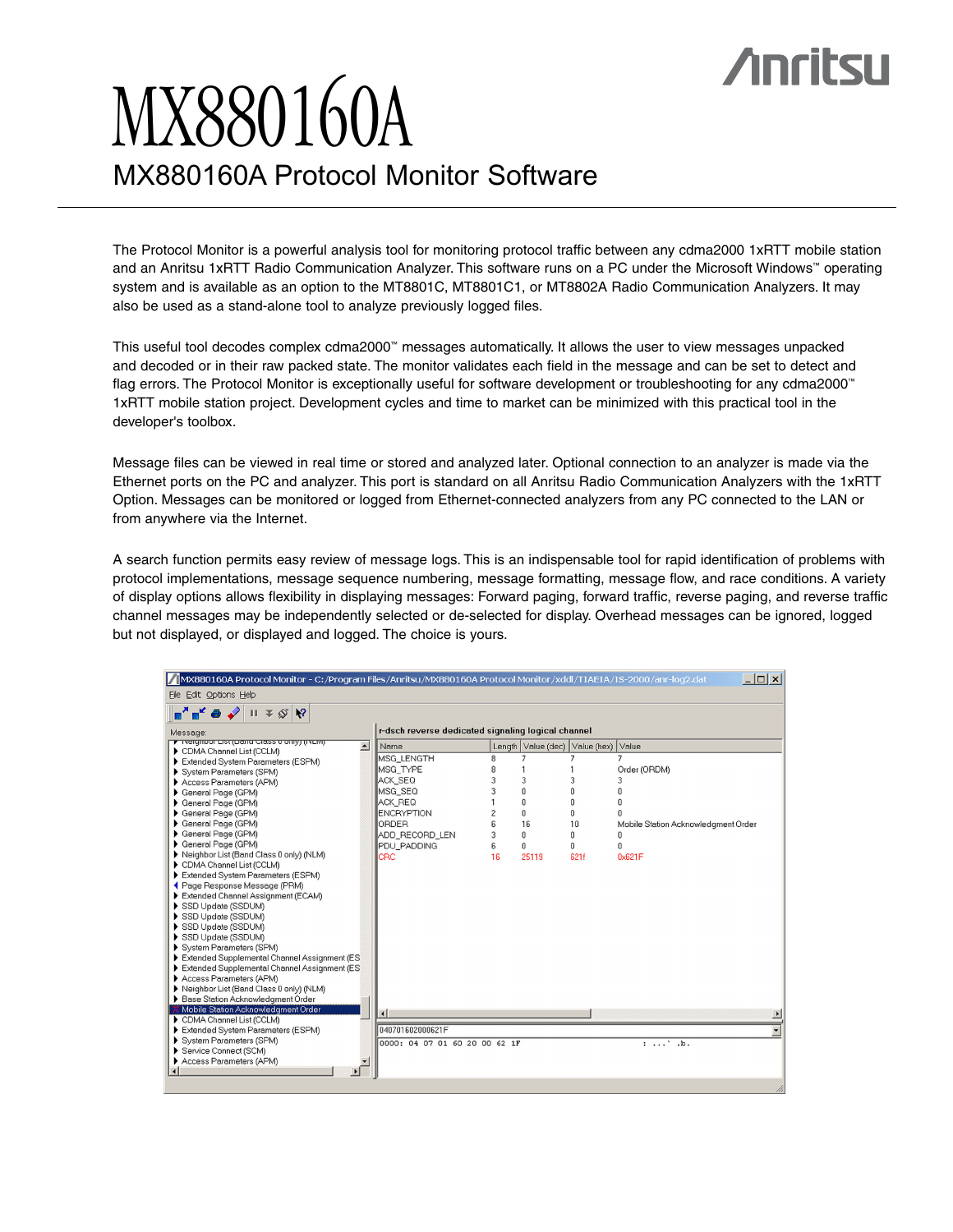# **Anritsu**

# MX880160A MX880160A Protocol Monitor Software

The Protocol Monitor is a powerful analysis tool for monitoring protocol traffic between any cdma2000 1xRTT mobile station and an Anritsu 1xRTT Radio Communication Analyzer. This software runs on a PC under the Microsoft Windows™ operating system and is available as an option to the MT8801C, MT8801C1, or MT8802A Radio Communication Analyzers. It may also be used as a stand-alone tool to analyze previously logged files.

This useful tool decodes complex cdma2000™ messages automatically. It allows the user to view messages unpacked and decoded or in their raw packed state. The monitor validates each field in the message and can be set to detect and flag errors. The Protocol Monitor is exceptionally useful for software development or troubleshooting for any cdma2000™ 1xRTT mobile station project. Development cycles and time to market can be minimized with this practical tool in the developer's toolbox.

Message files can be viewed in real time or stored and analyzed later. Optional connection to an analyzer is made via the Ethernet ports on the PC and analyzer. This port is standard on all Anritsu Radio Communication Analyzers with the 1xRTT Option. Messages can be monitored or logged from Ethernet-connected analyzers from any PC connected to the LAN or from anywhere via the Internet.

A search function permits easy review of message logs. This is an indispensable tool for rapid identification of problems with protocol implementations, message sequence numbering, message formatting, message flow, and race conditions. A variety of display options allows flexibility in displaying messages: Forward paging, forward traffic, reverse paging, and reverse traffic channel messages may be independently selected or de-selected for display. Overhead messages can be ignored, logged but not displayed, or displayed and logged. The choice is yours.

| $ \Box$ $\times$<br>MX880160A Protocol Monitor - C:/Program Files/Anritsu/MX880160A Protocol Monitor/xddl/TIAEIA/IS-2000/anr-log2.dat   |                               |                |                                      |      |                                     |
|-----------------------------------------------------------------------------------------------------------------------------------------|-------------------------------|----------------|--------------------------------------|------|-------------------------------------|
| File Edit Options Help                                                                                                                  |                               |                |                                      |      |                                     |
| $\mathbb{H}$ = $\mathcal{S}$   $\mathbb{R}$ ?<br>$\mathbf{E}^{\prime}$ $\mathbf{E}^{\prime}$ $\mathbf{\Theta}$ $\mathbf{\blacklozenge}$ |                               |                |                                      |      |                                     |
| r-dsch reverse dedicated signaling logical channel<br>Message:                                                                          |                               |                |                                      |      |                                     |
| <b>F</b> Ivergribut List (Darru Crass o Unity) (IVERY)<br>$\blacktriangle$<br>CDMA Channel List (CCLM)                                  | Name                          |                | Length Value (dec) Value (hex) Value |      |                                     |
| Extended System Parameters (ESPM)                                                                                                       | <b>MSG LENGTH</b>             | 8              |                                      |      |                                     |
| System Parameters (SPM)                                                                                                                 | MSG TYPE                      | 8              |                                      |      | Order (ORDM)                        |
| Access Parameters (APM)                                                                                                                 | ACK SEQ                       | 3              | 3                                    | 3    |                                     |
| General Page (GPM)                                                                                                                      | MSG SEQ                       | 3              | 0                                    | n    | n                                   |
| General Page (GPM)                                                                                                                      | ACK REQ                       |                | 0                                    | O    | n                                   |
| General Page (GPM)                                                                                                                      | <b>ENCRYPTION</b>             | $\overline{c}$ | 0                                    | Ü    |                                     |
| General Page (GPM)                                                                                                                      | <b>ORDER</b>                  | ĥ,             | 16                                   | 10   | Mobile Station Acknowledgment Order |
| General Page (GPM)                                                                                                                      | ADD_RECORD_LEN                | 3              | 0                                    | O    | 0                                   |
| General Page (GPM)                                                                                                                      | PDU PADDING                   | 6              | 0                                    | 0    | 0                                   |
| Neighbor List (Band Class 0 only) (NLM)                                                                                                 | <b>CRC</b>                    | 16             | 25119                                | 621f | 0x621F                              |
| CDMA Channel List (CCLM)                                                                                                                |                               |                |                                      |      |                                     |
| Extended System Parameters (ESPM)                                                                                                       |                               |                |                                      |      |                                     |
| ◀ Page Response Message (PRM)                                                                                                           |                               |                |                                      |      |                                     |
| Extended Channel Assignment (ECAM)                                                                                                      |                               |                |                                      |      |                                     |
| SSD Update (SSDUM)                                                                                                                      |                               |                |                                      |      |                                     |
| SSD Update (SSDUM)<br>SSD Update (SSDUM)                                                                                                |                               |                |                                      |      |                                     |
| SSD Update (SSDUM)                                                                                                                      |                               |                |                                      |      |                                     |
| System Parameters (SPM)                                                                                                                 |                               |                |                                      |      |                                     |
| Extended Supplemental Channel Assignment (ES                                                                                            |                               |                |                                      |      |                                     |
| Extended Supplemental Channel Assignment (ES                                                                                            |                               |                |                                      |      |                                     |
| Access Parameters (APM)                                                                                                                 |                               |                |                                      |      |                                     |
| Neighbor List (Band Class 0 only) (NLM)                                                                                                 |                               |                |                                      |      |                                     |
| Base Station Acknowledgment Order                                                                                                       |                               |                |                                      |      |                                     |
| <b>X</b> Mobile Station Acknowledgment Order                                                                                            |                               |                |                                      |      |                                     |
| CDMA Channel List (CCLM)                                                                                                                |                               |                |                                      |      |                                     |
| Extended System Parameters (ESPM)                                                                                                       | 040701602000621F              |                |                                      |      |                                     |
| System Parameters (SPM)                                                                                                                 | 0000: 04 07 01 60 20 00 62 1F |                |                                      |      | : ', b.                             |
| Service Connect (SCM)                                                                                                                   |                               |                |                                      |      |                                     |
| Access Parameters (APM)                                                                                                                 |                               |                |                                      |      |                                     |
| $\overline{4}$                                                                                                                          |                               |                |                                      |      |                                     |
|                                                                                                                                         |                               |                |                                      |      |                                     |